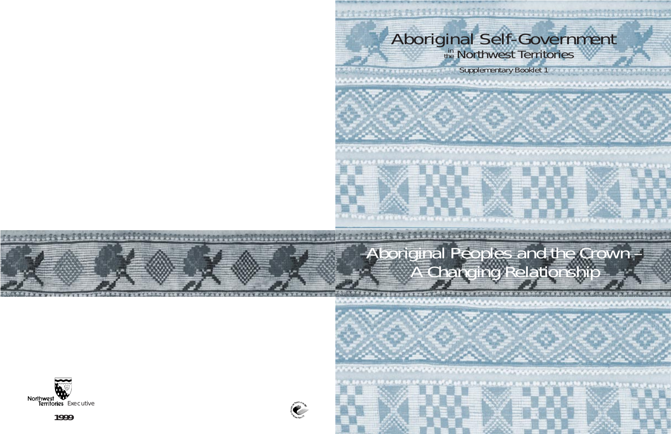# Aboriginal Self-Government

Supplementary Booklet 1

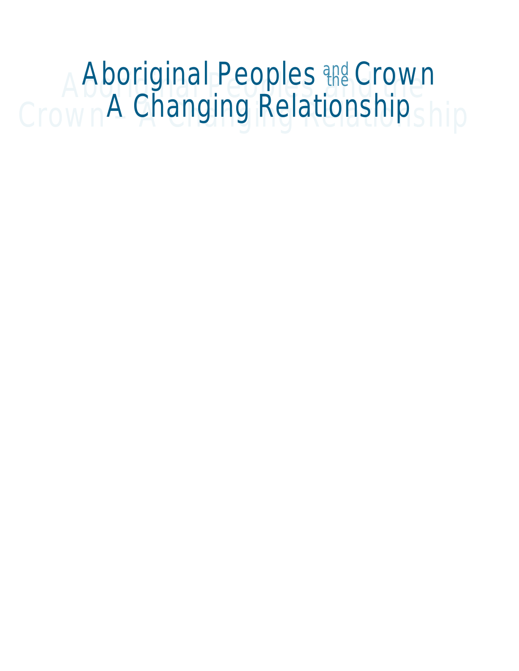### Aboriginal Peoples <del>the</del> Crown<br>Crown A Changing Relationship Aboriginal Peoples and Crown A Changing Relationship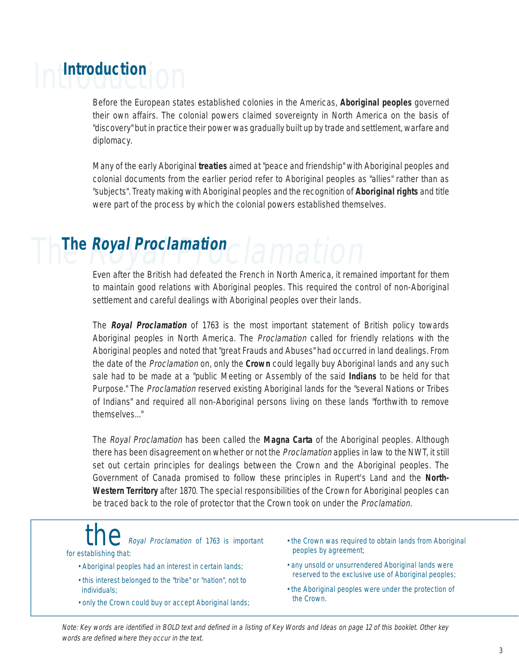# Introduction **Introduction**

Before the European states established colonies in the Americas, **Aboriginal peoples** governed their own affairs. The colonial powers claimed sovereignty in North America on the basis of "discovery" but in practice their power was gradually built up by trade and settlement, warfare and diplomacy.

Many of the early Aboriginal **treaties** aimed at "peace and friendship" with Aboriginal peoples and colonial documents from the earlier period refer to Aboriginal peoples as "allies" rather than as "subjects". Treaty making with Aboriginal peoples and the recognition of **Aboriginal rights** and title were part of the process by which the colonial powers established themselves.

### The Royal Proclamation **The Royal Proclamation**

Even after the British had defeated the French in North America, it remained important for them to maintain good relations with Aboriginal peoples. This required the control of non-Aboriginal settlement and careful dealings with Aboriginal peoples over their lands.

The **Royal Proclamation** of 1763 is the most important statement of British policy towards Aboriginal peoples in North America. The Proclamation called for friendly relations with the Aboriginal peoples and noted that "great Frauds and Abuses" had occurred in land dealings. From the date of the Proclamation on, only the **Crown** could legally buy Aboriginal lands and any such sale had to be made at a "public Meeting or Assembly of the said **Indians** to be held for that Purpose." The Proclamation reserved existing Aboriginal lands for the "several Nations or Tribes of Indians" and required all non-Aboriginal persons living on these lands "forthwith to remove themselves."

The Royal Proclamation has been called the **Magna Carta** of the Aboriginal peoples. Although there has been disagreement on whether or not the *Proclamation* applies in law to the NWT, it still set out certain principles for dealings between the Crown and the Aboriginal peoples. The Government of Canada promised to follow these principles in Rupert's Land and the **North-Western Territory** after 1870. The special responsibilities of the Crown for Aboriginal peoples can be traced back to the role of protector that the Crown took on under the *Proclamation*.

Royal Proclamation of 1763 is important for establishing that:

- Aboriginal peoples had an interest in certain lands;
- this interest belonged to the "tribe" or "nation", not to individuals;
- only the Crown could buy or accept Aboriginal lands;
- the Crown was required to obtain lands from Aboriginal peoples by agreement;
- any unsold or unsurrendered Aboriginal lands were reserved to the exclusive use of Aboriginal peoples;
- the Aboriginal peoples were under the protection of the Crown.

Note: Key words are identified in BOLD text and defined in a listing of Key Words and Ideas on page 12 of this booklet. Other key words are defined where they occur in the text.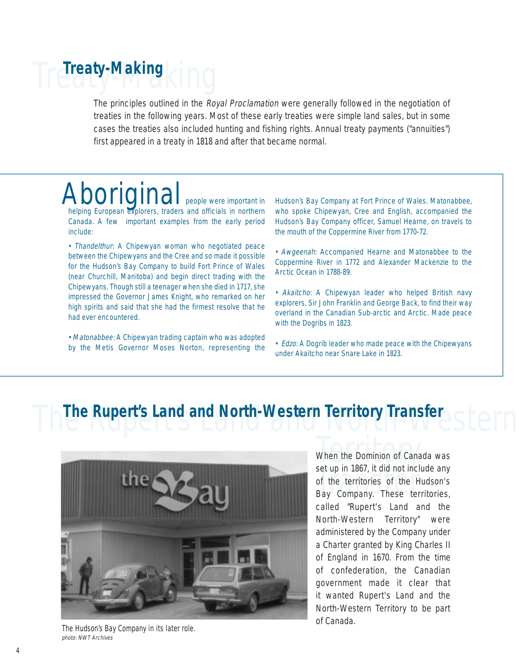## Treaty-Making **Treaty-Making**

The principles outlined in the Royal Proclamation were generally followed in the negotiation of treaties in the following years. Most of these early treaties were simple land sales, but in some cases the treaties also included hunting and fishing rights. Annual treaty payments ("annuities") first appeared in a treaty in 1818 and after that became normal.

### Aboriginal people were important in

helping European explorers, traders and officials in northern Canada. A few important examples from the early period include:

• Thandelthur: A Chipewyan woman who negotiated peace between the Chipewyans and the Cree and so made it possible for the Hudson's Bay Company to build Fort Prince of Wales (near Churchill, Manitoba) and begin direct trading with the Chipewyans. Though still a teenager when she died in 1717, she impressed the Governor James Knight, who remarked on her high spirits and said that she had the firmest resolve that he had ever encountered.

• Matonabbee: A Chipewyan trading captain who was adopted by the Metis Governor Moses Norton, representing the Hudson's Bay Company at Fort Prince of Wales. Matonabbee, who spoke Chipewyan, Cree and English, accompanied the Hudson's Bay Company officer, Samuel Hearne, on travels to the mouth of the Coppermine River from 1770-72.

• Awgeenah: Accompanied Hearne and Matonabbee to the Coppermine River in 1772 and Alexander Mackenzie to the Arctic Ocean in 1788-89.

• Akaitcho: A Chipewyan leader who helped British navy explorers, Sir John Franklin and George Back, to find their way overland in the Canadian Sub-arctic and Arctic. Made peace with the Dogribs in 1823.

• Edzo: A Dogrib leader who made peace with the Chipewyans under Akaitcho near Snare Lake in 1823.

# **The Rupert's Land and North-Western Territory Transfer**<br>
When the Dominion of Canada was<br>
set up in 1867, it did not include any



The Hudson's Bay Company in its later role. photo: NWT Archives

set up in 1867, it did not include any<br>of the territories of the Hudson's<br>Bay Company. These territories, When the Dominion of Canada was set up in 1867, it did not include any of the territories of the Hudson's called "Rupert's Land and the North-Western Territory" were administered by the Company under a Charter granted by King Charles II of England in 1670. From the time of confederation, the Canadian government made it clear that it wanted Rupert's Land and the North-Western Territory to be part of Canada.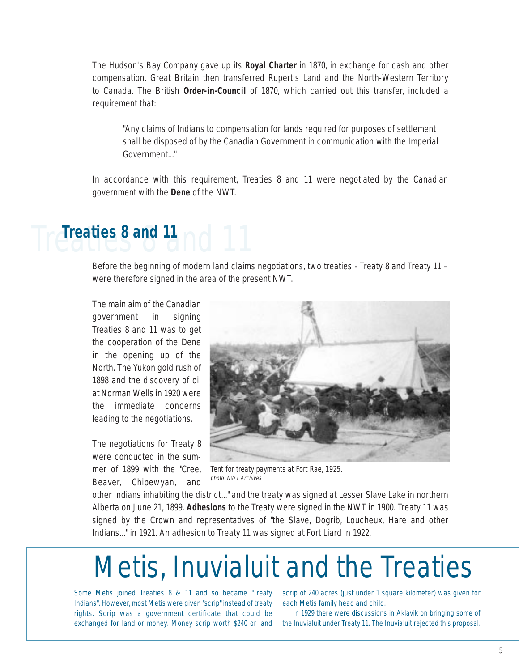The Hudson's Bay Company gave up its **Royal Charter** in 1870, in exchange for cash and other compensation. Great Britain then transferred Rupert's Land and the North-Western Territory to Canada. The British **Order-in-Council** of 1870, which carried out this transfer, included a requirement that:

"Any claims of Indians to compensation for lands required for purposes of settlement shall be disposed of by the Canadian Government in communication with the Imperial Government..."

In accordance with this requirement, Treaties 8 and 11 were negotiated by the Canadian government with the **Dene** of the NWT.

### Treaties 8 and 11 **Treaties 8 and 11**

Before the beginning of modern land claims negotiations, two treaties - Treaty 8 and Treaty 11 – were therefore signed in the area of the present NWT.

The main aim of the Canadian government in signing Treaties 8 and 11 was to get the cooperation of the Dene in the opening up of the North. The Yukon gold rush of 1898 and the discovery of oil at Norman Wells in 1920 were the immediate concerns leading to the negotiations.

The negotiations for Treaty 8 were conducted in the summer of 1899 with the "Cree, Beaver, Chipewyan, and



Tent for treaty payments at Fort Rae, 1925. photo: NWT Archives

other Indians inhabiting the district..." and the treaty was signed at Lesser Slave Lake in northern Alberta on June 21, 1899. **Adhesions** to the Treaty were signed in the NWT in 1900. Treaty 11 was signed by the Crown and representatives of "the Slave, Dogrib, Loucheux, Hare and other Indians..." in 1921. An adhesion to Treaty 11 was signed at Fort Liard in 1922.

### Metis, Inuvialuit and the Treaties

Indians". However, most Metis were given "scrip" instead of treaty rights. Scrip was a government certificate that could be exchanged for land or money. Money scrip worth \$240 or land the Inuvialuit under Treaty 11. The Inuvialuit rejected this proposal.

Some Metis joined Treaties 8 & 11 and so became "Treaty scrip of 240 acres (just under 1 square kilometer) was given for each Metis family head and child.

In 1929 there were discussions in Aklavik on bringing some of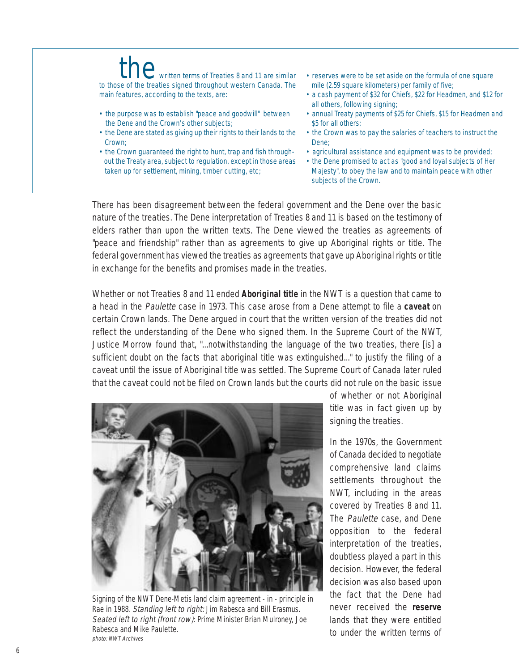#### the written terms of Treaties 8 and 11 are similar<br>the western Canada. The to those of the treaties signed throughout western Canada. The main features, according to the texts, are:

- the purpose was to establish "peace and goodwill" between the Dene and the Crown's other subjects;
- the Dene are stated as giving up their rights to their lands to the Crown;
- the Crown guaranteed the right to hunt, trap and fish throughout the Treaty area, subject to regulation, except in those areas taken up for settlement, mining, timber cutting, etc;
- reserves were to be set aside on the formula of one square mile (2.59 square kilometers) per family of five;
- a cash payment of \$32 for Chiefs, \$22 for Headmen, and \$12 for all others, following signing;
- annual Treaty payments of \$25 for Chiefs, \$15 for Headmen and \$5 for all others:
- the Crown was to pay the salaries of teachers to instruct the Dene;
- agricultural assistance and equipment was to be provided;
- the Dene promised to act as "good and loyal subjects of Her Majesty", to obey the law and to maintain peace with other subjects of the Crown.

There has been disagreement between the federal government and the Dene over the basic nature of the treaties. The Dene interpretation of Treaties 8 and 11 is based on the testimony of elders rather than upon the written texts. The Dene viewed the treaties as agreements of "peace and friendship" rather than as agreements to give up Aboriginal rights or title. The federal government has viewed the treaties as agreements that gave up Aboriginal rights or title in exchange for the benefits and promises made in the treaties.

Whether or not Treaties 8 and 11 ended **Aboriginal title** in the NWT is a question that came to a head in the Paulette case in 1973. This case arose from a Dene attempt to file a **caveat** on certain Crown lands. The Dene argued in court that the written version of the treaties did not reflect the understanding of the Dene who signed them. In the Supreme Court of the NWT, Justice Morrow found that, "...notwithstanding the language of the two treaties, there [is] a sufficient doubt on the facts that aboriginal title was extinguished..." to justify the filing of a caveat until the issue of Aboriginal title was settled. The Supreme Court of Canada later ruled that the caveat could not be filed on Crown lands but the courts did not rule on the basic issue



Signing of the NWT Dene-Metis land claim agreement - in - principle in Rae in 1988. Standing left to right: Jim Rabesca and Bill Erasmus. Seated left to right (front row): Prime Minister Brian Mulroney, Joe Rabesca and Mike Paulette. photo: NWT Archives

of whether or not Aboriginal title was in fact given up by signing the treaties.

In the 1970s, the Government of Canada decided to negotiate comprehensive land claims settlements throughout the NWT, including in the areas covered by Treaties 8 and 11. The Paulette case, and Dene opposition to the federal interpretation of the treaties, doubtless played a part in this decision. However, the federal decision was also based upon the fact that the Dene had never received the **reserve** lands that they were entitled to under the written terms of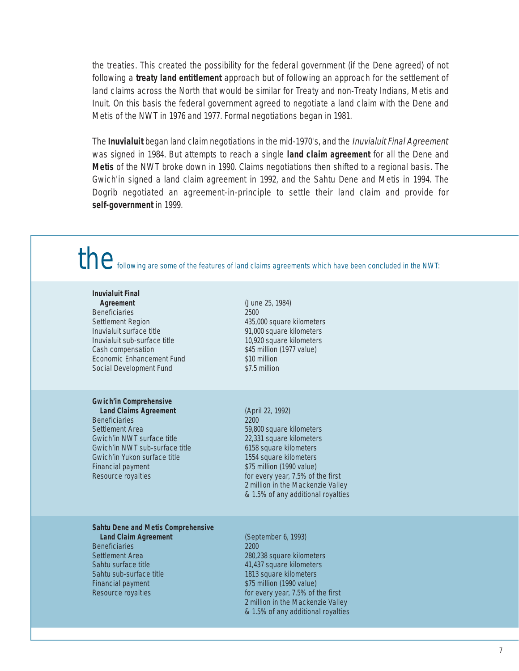the treaties. This created the possibility for the federal government (if the Dene agreed) of not following a **treaty land entitlement** approach but of following an approach for the settlement of land claims across the North that would be similar for Treaty and non-Treaty Indians, Metis and Inuit. On this basis the federal government agreed to negotiate a land claim with the Dene and Metis of the NWT in 1976 and 1977. Formal negotiations began in 1981.

The **Inuvialuit** began land claim negotiations in the mid-1970's, and the Inuvialuit Final Agreement was signed in 1984. But attempts to reach a single **land claim agreement** for all the Dene and **Metis** of the NWT broke down in 1990. Claims negotiations then shifted to a regional basis. The Gwich'in signed a land claim agreement in 1992, and the Sahtu Dene and Metis in 1994. The Dogrib negotiated an agreement-in-principle to settle their land claim and provide for **self-government** in 1999.

the following are some of the features of land claims agreements which have been concluded in the NWT:

#### **Inuvialuit Final**

**Agreement** (June 25, 1984) Beneficiaries 2500 Settlement Region 435,000 square kilometers Inuvialuit surface title 91,000 square kilometers Inuvialuit sub-surface title 10,920 square kilometers Cash compensation  $$45$  million (1977 value)<br>Economic Enhancement Fund  $$10$  million Economic Enhancement Fund \$10 million<br>Social Development Fund \$7.5 million Social Development Fund

#### **Gwich'in Comprehensive**

Beneficiaries 2200 Settlement Area 59,800 square kilometers Gwich'in NWT surface title 22,331 square kilometers<br>Gwich'in NWT sub-surface title 6158 square kilometers Gwich'in NWT sub-surface title Gwich'in Yukon surface title 1554 square kilometers Financial payment \$75 million (1990 value)

**Land Claims Agreement** (April 22, 1992) Resource royalties **For every year, 7.5% of the first** 2 million in the Mackenzie Valley & 1.5% of any additional royalties

#### **Sahtu Dene and Metis Comprehensive**

Beneficiaries 2200 Sahtu sub-surface title 1813 square kilometers Financial payment \$75 million (1990 value)

**Land Claim Agreement** (September 6, 1993) Settlement Area 280,238 square kilometers<br>
280,238 square kilometers<br>
280,238 square kilometers 41,437 square kilometers Resource royalties **For every year, 7.5% of the first** 2 million in the Mackenzie Valley & 1.5% of any additional royalties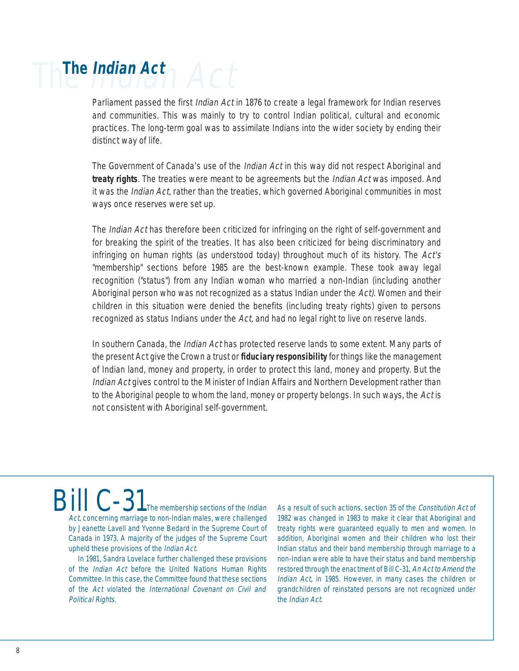### The Indian Act **The Indian Act**

Parliament passed the first *Indian Act* in 1876 to create a legal framework for Indian reserves and communities. This was mainly to try to control Indian political, cultural and economic practices. The long-term goal was to assimilate Indians into the wider society by ending their distinct way of life.

The Government of Canada's use of the *Indian Act* in this way did not respect Aboriginal and **treaty rights**. The treaties were meant to be agreements but the Indian Act was imposed. And it was the Indian Act, rather than the treaties, which governed Aboriginal communities in most ways once reserves were set up.

The *Indian Act* has therefore been criticized for infringing on the right of self-government and for breaking the spirit of the treaties. It has also been criticized for being discriminatory and infringing on human rights (as understood today) throughout much of its history. The Act's "membership" sections before 1985 are the best-known example. These took away legal recognition ("status") from any Indian woman who married a non-Indian (including another Aboriginal person who was not recognized as a status Indian under the Act). Women and their children in this situation were denied the benefits (including treaty rights) given to persons recognized as status Indians under the Act, and had no legal right to live on reserve lands.

In southern Canada, the *Indian Act* has protected reserve lands to some extent. Many parts of the present Act give the Crown a trust or **fiduciary responsibility** for things like the management of Indian land, money and property, in order to protect this land, money and property. But the Indian Act gives control to the Minister of Indian Affairs and Northern Development rather than to the Aboriginal people to whom the land, money or property belongs. In such ways, the Act is not consistent with Aboriginal self-government.

Bill  $C-31$ <sub>The membership sections of the Indian</sub> Act, concerning marriage to non-Indian males, were challenged by Jeanette Lavell and Yvonne Bedard in the Supreme Court of Canada in 1973. A majority of the judges of the Supreme Court upheld these provisions of the Indian Act.

In 1981, Sandra Lovelace further challenged these provisions of the Indian Act before the United Nations Human Rights Committee. In this case, the Committee found that these sections of the Act violated the International Covenant on Civil and Political Rights.

As a result of such actions, section 35 of the Constitution Act of 1982 was changed in 1983 to make it clear that Aboriginal and treaty rights were guaranteed equally to men and women. In addition, Aboriginal women and their children who lost their Indian status and their band membership through marriage to a non-Indian were able to have their status and band membership restored through the enactment of Bill C-31, An Act to Amend the Indian Act, in 1985. However, in many cases the children or grandchildren of reinstated persons are not recognized under the Indian Act.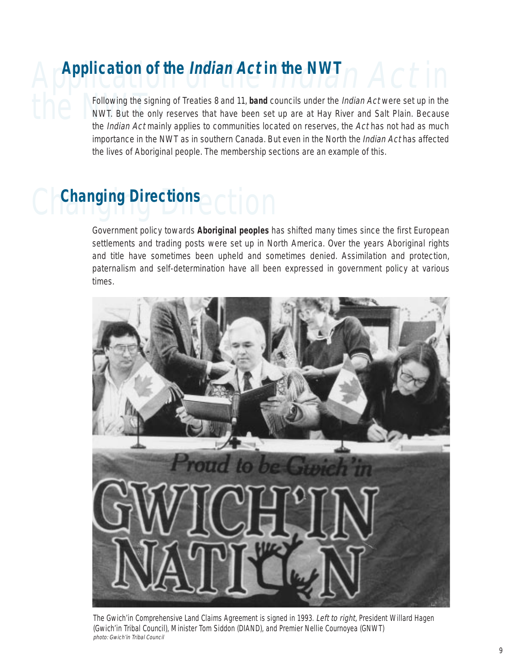# Application of the Indian Act in **Application of the Indian Act in the NWT**

Following the signing of Treaties 8 and 11, **band** councils under the *Indian Act* were set up in the<br>NWT. But the only reserves that have been set up are at Hay River and Salt Plain. Because<br>the *Indian Act* mainly applie NWT. But the only reserves that have been set up are at Hay River and Salt Plain. Because the *Indian Act* mainly applies to communities located on reserves, the Act has not had as much importance in the NWT as in southern Canada. But even in the North the Indian Act has affected the lives of Aboriginal people. The membership sections are an example of this.

### **Changing Directions**

Government policy towards **Aboriginal peoples** has shifted many times since the first European settlements and trading posts were set up in North America. Over the years Aboriginal rights and title have sometimes been upheld and sometimes denied. Assimilation and protection, paternalism and self-determination have all been expressed in government policy at various times.



The Gwich'in Comprehensive Land Claims Agreement is signed in 1993. Left to right, President Willard Hagen (Gwich'in Tribal Council), Minister Tom Siddon (DIAND), and Premier Nellie Cournoyea (GNWT) photo: Gwich'in Tribal Council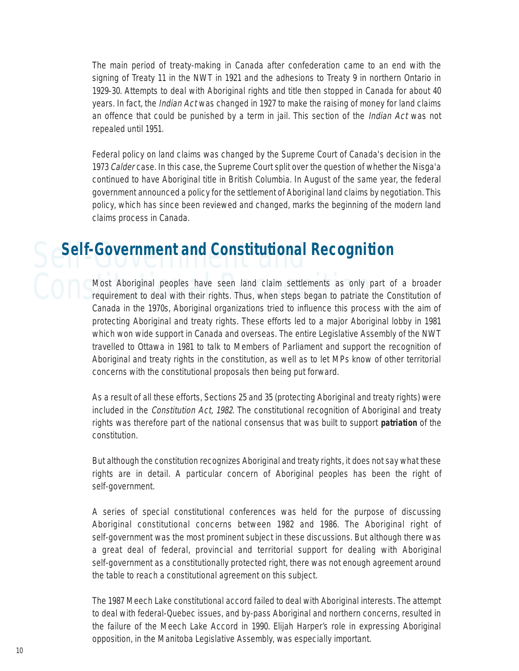The main period of treaty-making in Canada after confederation came to an end with the signing of Treaty 11 in the NWT in 1921 and the adhesions to Treaty 9 in northern Ontario in 1929-30. Attempts to deal with Aboriginal rights and title then stopped in Canada for about 40 years. In fact, the *Indian Act* was changed in 1927 to make the raising of money for land claims an offence that could be punished by a term in jail. This section of the *Indian Act* was not repealed until 1951.

Federal policy on land claims was changed by the Supreme Court of Canada's decision in the 1973 Calder case. In this case, the Supreme Court split over the question of whether the Nisga'a continued to have Aboriginal title in British Columbia. In August of the same year, the federal government announced a policy for the settlement of Aboriginal land claims by negotiation. This policy, which has since been reviewed and changed, marks the beginning of the modern land claims process in Canada.

### Self-Government and **Self-Government and Constitutional Recognition**

Most Aboriginal peoples have seen land claim settlements as only part of a broader<br>requirement to deal with their rights. Thus, when steps began to patriate the Constitution of Most Aboriginal peoples have seen land claim settlements as only part of a broader Canada in the 1970s, Aboriginal organizations tried to influence this process with the aim of protecting Aboriginal and treaty rights. These efforts led to a major Aboriginal lobby in 1981 which won wide support in Canada and overseas. The entire Legislative Assembly of the NWT travelled to Ottawa in 1981 to talk to Members of Parliament and support the recognition of Aboriginal and treaty rights in the constitution, as well as to let MPs know of other territorial concerns with the constitutional proposals then being put forward.

> As a result of all these efforts, Sections 25 and 35 (protecting Aboriginal and treaty rights) were included in the *Constitution Act, 1982*. The constitutional recognition of Aboriginal and treaty rights was therefore part of the national consensus that was built to support **patriation** of the constitution.

> But although the constitution recognizes Aboriginal and treaty rights, it does not say what these rights are in detail. A particular concern of Aboriginal peoples has been the right of self-government.

> A series of special constitutional conferences was held for the purpose of discussing Aboriginal constitutional concerns between 1982 and 1986. The Aboriginal right of self-government was the most prominent subject in these discussions. But although there was a great deal of federal, provincial and territorial support for dealing with Aboriginal self-government as a constitutionally protected right, there was not enough agreement around the table to reach a constitutional agreement on this subject.

> The 1987 Meech Lake constitutional accord failed to deal with Aboriginal interests. The attempt to deal with federal-Quebec issues, and by-pass Aboriginal and northern concerns, resulted in the failure of the Meech Lake Accord in 1990. Elijah Harper's role in expressing Aboriginal opposition, in the Manitoba Legislative Assembly, was especially important.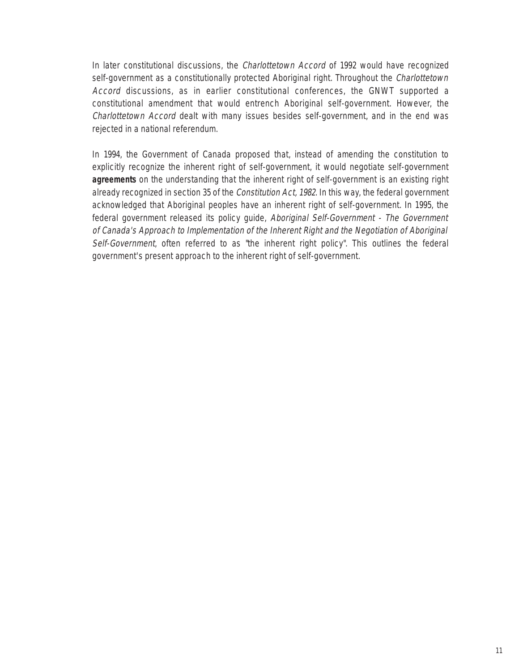In later constitutional discussions, the Charlottetown Accord of 1992 would have recognized self-government as a constitutionally protected Aboriginal right. Throughout the *Charlottetown* Accord discussions, as in earlier constitutional conferences, the GNWT supported a constitutional amendment that would entrench Aboriginal self-government. However, the Charlottetown Accord dealt with many issues besides self-government, and in the end was rejected in a national referendum.

In 1994, the Government of Canada proposed that, instead of amending the constitution to explicitly recognize the inherent right of self-government, it would negotiate self-government **agreements** on the understanding that the inherent right of self-government is an existing right already recognized in section 35 of the Constitution Act, 1982. In this way, the federal government acknowledged that Aboriginal peoples have an inherent right of self-government. In 1995, the federal government released its policy guide, Aboriginal Self-Government - The Government of Canada's Approach to Implementation of the Inherent Right and the Negotiation of Aboriginal Self-Government, often referred to as "the inherent right policy". This outlines the federal government's present approach to the inherent right of self-government.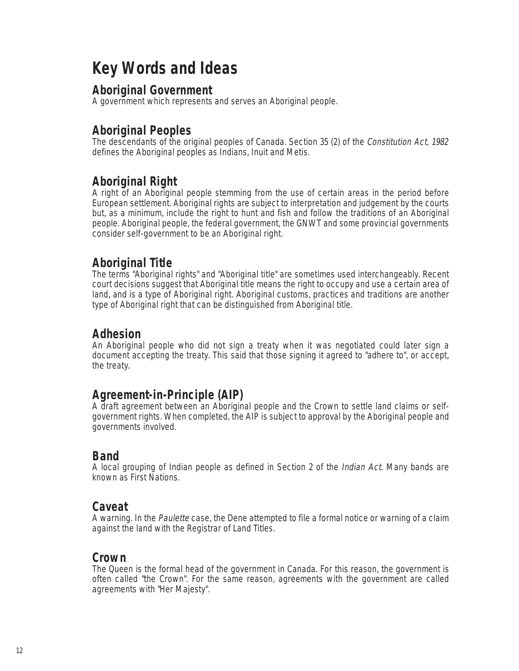### **Key Words and Ideas**

#### **Aboriginal Government**

A government which represents and serves an Aboriginal people.

#### **Aboriginal Peoples**

The descendants of the original peoples of Canada. Section 35 (2) of the Constitution Act, 1982 defines the Aboriginal peoples as Indians, Inuit and Metis.

#### **Aboriginal Right**

A right of an Aboriginal people stemming from the use of certain areas in the period before European settlement. Aboriginal rights are subject to interpretation and judgement by the courts but, as a minimum, include the right to hunt and fish and follow the traditions of an Aboriginal people. Aboriginal people, the federal government, the GNWT and some provincial governments consider self-government to be an Aboriginal right.

#### **Aboriginal Title**

The terms "Aboriginal rights" and "Aboriginal title" are sometimes used interchangeably. Recent court decisions suggest that Aboriginal title means the right to occupy and use a certain area of land, and is a type of Aboriginal right. Aboriginal customs, practices and traditions are another type of Aboriginal right that can be distinguished from Aboriginal title.

#### **Adhesion**

An Aboriginal people who did not sign a treaty when it was negotiated could later sign a document accepting the treaty. This said that those signing it agreed to "adhere to", or accept, the treaty.

#### **Agreement-in-Principle (AIP)**

A draft agreement between an Aboriginal people and the Crown to settle land claims or selfgovernment rights. When completed, the AIP is subject to approval by the Aboriginal people and governments involved.

#### **Band**

A local grouping of Indian people as defined in Section 2 of the Indian Act. Many bands are known as First Nations.

#### **Caveat**

A warning. In the Paulette case, the Dene attempted to file a formal notice or warning of a claim against the land with the Registrar of Land Titles.

#### **Crown**

The Queen is the formal head of the government in Canada. For this reason, the government is often called "the Crown". For the same reason, agreements with the government are called agreements with "Her Majesty".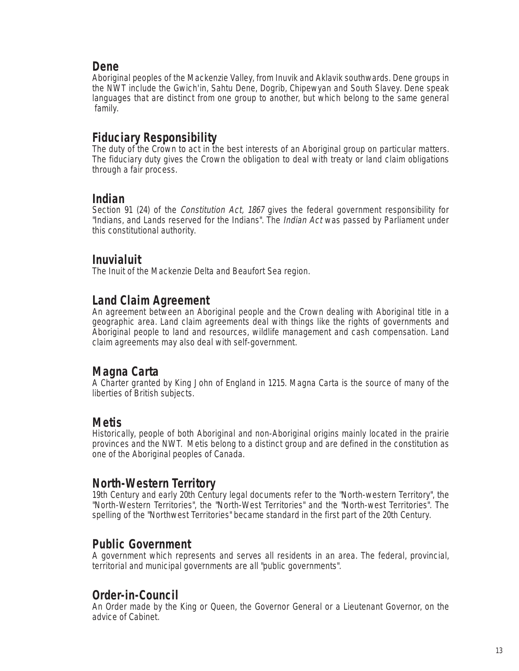#### **Dene**

Aboriginal peoples of the Mackenzie Valley, from Inuvik and Aklavik southwards. Dene groups in the NWT include the Gwich'in, Sahtu Dene, Dogrib, Chipewyan and South Slavey. Dene speak languages that are distinct from one group to another, but which belong to the same general family.

#### **Fiduciary Responsibility**

The duty of the Crown to act in the best interests of an Aboriginal group on particular matters. The fiduciary duty gives the Crown the obligation to deal with treaty or land claim obligations through a fair process.

#### **Indian**

Section 91 (24) of the *Constitution Act, 1867* gives the federal government responsibility for "Indians, and Lands reserved for the Indians". The *Indian Act* was passed by Parliament under this constitutional authority.

#### **Inuvialuit**

The Inuit of the Mackenzie Delta and Beaufort Sea region.

#### **Land Claim Agreement**

An agreement between an Aboriginal people and the Crown dealing with Aboriginal title in a geographic area. Land claim agreements deal with things like the rights of governments and Aboriginal people to land and resources, wildlife management and cash compensation. Land claim agreements may also deal with self-government.

#### **Magna Carta**

A Charter granted by King John of England in 1215. Magna Carta is the source of many of the liberties of British subjects.

#### **Metis**

Historically, people of both Aboriginal and non-Aboriginal origins mainly located in the prairie provinces and the NWT. Metis belong to a distinct group and are defined in the constitution as one of the Aboriginal peoples of Canada.

#### **North-Western Territory**

19th Century and early 20th Century legal documents refer to the "North-western Territory", the "North-Western Territories", the "North-West Territories" and the "North-west Territories". The spelling of the "Northwest Territories" became standard in the first part of the 20th Century.

#### **Public Government**

A government which represents and serves all residents in an area. The federal, provincial, territorial and municipal governments are all "public governments".

#### **Order-in-Council**

An Order made by the King or Queen, the Governor General or a Lieutenant Governor, on the advice of Cabinet.